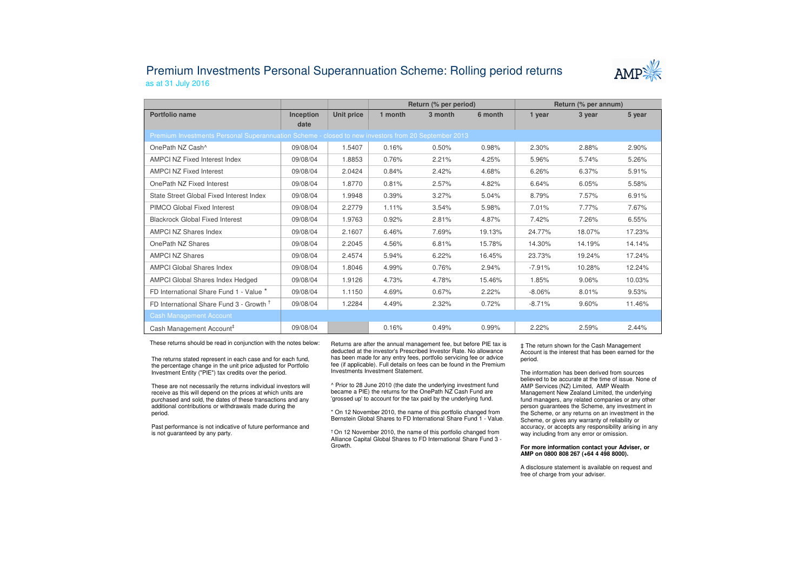## Premium Investments Personal Superannuation Scheme: Rolling period returnsas at 31 July 2016



|                                                                                                     |           |            | Return (% per period) |         |         | Return (% per annum) |        |        |  |  |  |  |
|-----------------------------------------------------------------------------------------------------|-----------|------------|-----------------------|---------|---------|----------------------|--------|--------|--|--|--|--|
| Portfolio name                                                                                      | Inception | Unit price | 1 month               | 3 month | 6 month | 1 year               | 3 year | 5 year |  |  |  |  |
|                                                                                                     | date      |            |                       |         |         |                      |        |        |  |  |  |  |
| Premium Investments Personal Superannuation Scheme - closed to new investors from 20 September 2013 |           |            |                       |         |         |                      |        |        |  |  |  |  |
| OnePath NZ Cash^                                                                                    | 09/08/04  | 1.5407     | 0.16%                 | 0.50%   | 0.98%   | 2.30%                | 2.88%  | 2.90%  |  |  |  |  |
| AMPCI NZ Fixed Interest Index                                                                       | 09/08/04  | 1.8853     | 0.76%                 | 2.21%   | 4.25%   | 5.96%                | 5.74%  | 5.26%  |  |  |  |  |
| <b>AMPCI NZ Fixed Interest</b>                                                                      | 09/08/04  | 2.0424     | 0.84%                 | 2.42%   | 4.68%   | 6.26%                | 6.37%  | 5.91%  |  |  |  |  |
| OnePath NZ Fixed Interest                                                                           | 09/08/04  | 1.8770     | 0.81%                 | 2.57%   | 4.82%   | 6.64%                | 6.05%  | 5.58%  |  |  |  |  |
| State Street Global Fixed Interest Index                                                            | 09/08/04  | 1.9948     | 0.39%                 | 3.27%   | 5.04%   | 8.79%                | 7.57%  | 6.91%  |  |  |  |  |
| PIMCO Global Fixed Interest                                                                         | 09/08/04  | 2.2779     | 1.11%                 | 3.54%   | 5.98%   | 7.01%                | 7.77%  | 7.67%  |  |  |  |  |
| <b>Blackrock Global Fixed Interest</b>                                                              | 09/08/04  | 1.9763     | 0.92%                 | 2.81%   | 4.87%   | 7.42%                | 7.26%  | 6.55%  |  |  |  |  |
| <b>AMPCI NZ Shares Index</b>                                                                        | 09/08/04  | 2.1607     | 6.46%                 | 7.69%   | 19.13%  | 24.77%               | 18.07% | 17.23% |  |  |  |  |
| OnePath NZ Shares                                                                                   | 09/08/04  | 2.2045     | 4.56%                 | 6.81%   | 15.78%  | 14.30%               | 14.19% | 14.14% |  |  |  |  |
| <b>AMPCI NZ Shares</b>                                                                              | 09/08/04  | 2.4574     | 5.94%                 | 6.22%   | 16.45%  | 23.73%               | 19.24% | 17.24% |  |  |  |  |
| <b>AMPCI Global Shares Index</b>                                                                    | 09/08/04  | 1.8046     | 4.99%                 | 0.76%   | 2.94%   | $-7.91%$             | 10.28% | 12.24% |  |  |  |  |
| AMPCI Global Shares Index Hedged                                                                    | 09/08/04  | 1.9126     | 4.73%                 | 4.78%   | 15.46%  | 1.85%                | 9.06%  | 10.03% |  |  |  |  |
| FD International Share Fund 1 - Value *                                                             | 09/08/04  | 1.1150     | 4.69%                 | 0.67%   | 2.22%   | $-8.06%$             | 8.01%  | 9.53%  |  |  |  |  |
| FD International Share Fund 3 - Growth <sup>†</sup>                                                 | 09/08/04  | 1.2284     | 4.49%                 | 2.32%   | 0.72%   | $-8.71%$             | 9.60%  | 11.46% |  |  |  |  |
| <b>Cash Management Account</b>                                                                      |           |            |                       |         |         |                      |        |        |  |  |  |  |
| Cash Management Account <sup>#</sup>                                                                | 09/08/04  |            | 0.16%                 | 0.49%   | 0.99%   | 2.22%                | 2.59%  | 2.44%  |  |  |  |  |

These returns should be read in conjunction with the notes below:

The returns stated represent in each case and for each fund, the percentage change in the unit price adjusted for Portfolio Investment Entity ("PIE") tax credits over the period.

These are not necessarily the returns individual investors will receive as this will depend on the prices at which units are purchased and sold, the dates of these transactions and any additional contributions or withdrawals made during the period.

Past performance is not indicative of future performance and is not guaranteed by any party.

Returns are after the annual management fee, but before PIE tax is deducted at the investor's Prescribed Investor Rate. No allowance has been made for any entry fees, portfolio servicing fee or advice fee (if applicable). Full details on fees can be found in the Premium Investments Investment Statement.

^ Prior to 28 June 2010 (the date the underlying investment fund became a PIE) the returns for the OnePath NZ Cash Fund are 'grossed up' to account for the tax paid by the underlying fund.

\* On 12 November 2010, the name of this portfolio changed from Bernstein Global Shares to FD International Share Fund 1 - Value.

† On 12 November 2010, the name of this portfolio changed from Alliance Capital Global Shares to FD International Share Fund 3 -Growth.

‡ The return shown for the Cash Management Account is the interest that has been earned for the period.

The information has been derived from sources believed to be accurate at the time of issue. None of AMP Services (NZ) Limited, AMP Wealth Management New Zealand Limited, the underlying fund managers, any related companies or any other person guarantees the Scheme, any investment in the Scheme, or any returns on an investment in the Scheme, or gives any warranty of reliability or accuracy, or accepts any responsibility arising in any way including from any error or omission.

## **For more information contact your Adviser, or AMP on 0800 808 267 (+64 4 498 8000).**

A disclosure statement is available on request and free of charge from your adviser.